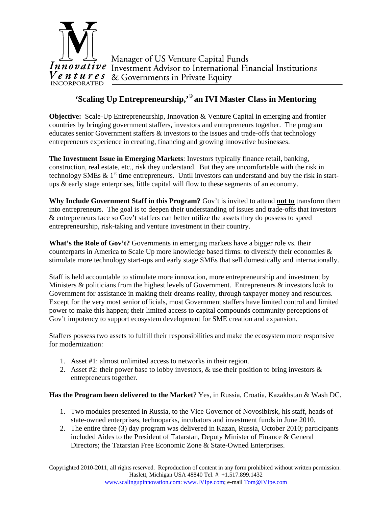

## **'Scaling Up Entrepreneurship,'© an IVI Master Class in Mentoring**

**Objective:** Scale-Up Entrepreneurship, Innovation & Venture Capital in emerging and frontier countries by bringing government staffers, investors and entrepreneurs together. The program educates senior Government staffers & investors to the issues and trade-offs that technology entrepreneurs experience in creating, financing and growing innovative businesses.

**The Investment Issue in Emerging Markets**: Investors typically finance retail, banking, construction, real estate, etc., risk they understand. But they are uncomfortable with the risk in technology SMEs  $\& 1<sup>st</sup>$  time entrepreneurs. Until investors can understand and buy the risk in startups & early stage enterprises, little capital will flow to these segments of an economy.

**Why Include Government Staff in this Program?** Gov't is invited to attend **not to** transform them into entrepreneurs. The goal is to deepen their understanding of issues and trade-offs that investors & entrepreneurs face so Gov't staffers can better utilize the assets they do possess to speed entrepreneurship, risk-taking and venture investment in their country.

**What's the Role of Gov't?** Governments in emerging markets have a bigger role vs. their counterparts in America to Scale Up more knowledge based firms: to diversify their economies  $\&$ stimulate more technology start-ups and early stage SMEs that sell domestically and internationally.

Staff is held accountable to stimulate more innovation, more entrepreneurship and investment by Ministers & politicians from the highest levels of Government. Entrepreneurs & investors look to Government for assistance in making their dreams reality, through taxpayer money and resources. Except for the very most senior officials, most Government staffers have limited control and limited power to make this happen; their limited access to capital compounds community perceptions of Gov't impotency to support ecosystem development for SME creation and expansion.

Staffers possess two assets to fulfill their responsibilities and make the ecosystem more responsive for modernization:

- 1. Asset #1: almost unlimited access to networks in their region.
- 2. Asset #2: their power base to lobby investors,  $\&$  use their position to bring investors  $\&$ entrepreneurs together.

**Has the Program been delivered to the Market**? Yes, in Russia, Croatia, Kazakhstan & Wash DC.

- 1. Two modules presented in Russia, to the Vice Governor of Novosibirsk, his staff, heads of state-owned enterprises, technoparks, incubators and investment funds in June 2010.
- 2. The entire three (3) day program was delivered in Kazan, Russia, October 2010; participants included Aides to the President of Tatarstan, Deputy Minister of Finance & General Directors; the Tatarstan Free Economic Zone & State-Owned Enterprises.

Copyrighted 2010-2011, all rights reserved. Reproduction of content in any form prohibited without written permission. Haslett, Michigan USA 48840 Tel. #. +1.517.899.1432 www.scalingupinnovation.com: www.IVIpe.com; e-mail Tom@IVIpe.com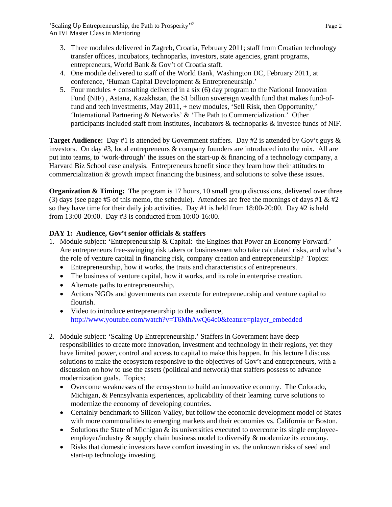- 3. Three modules delivered in Zagreb, Croatia, February 2011; staff from Croatian technology transfer offices, incubators, technoparks, investors, state agencies, grant programs, entrepreneurs, World Bank & Gov't of Croatia staff.
- 4. One module delivered to staff of the World Bank, Washington DC, February 2011, at conference, 'Human Capital Development & Entrepreneurship.'
- 5. Four modules + consulting delivered in a six (6) day program to the National Innovation Fund (NIF) , Astana, Kazakhstan, the \$1 billion sovereign wealth fund that makes fund-offund and tech investments, May 2011, + new modules, 'Sell Risk, then Opportunity,' 'International Partnering & Networks' & 'The Path to Commercialization.' Other participants included staff from institutes, incubators & technoparks & investee funds of NIF.

**Target Audience:** Day #1 is attended by Government staffers. Day #2 is attended by Gov't guys & investors. On day #3, local entrepreneurs & company founders are introduced into the mix. All are put into teams, to 'work-through' the issues on the start-up & financing of a technology company, a Harvard Biz School case analysis. Entrepreneurs benefit since they learn how their attitudes to commercialization & growth impact financing the business, and solutions to solve these issues.

**Organization & Timing:** The program is 17 hours, 10 small group discussions, delivered over three (3) days (see page #5 of this memo, the schedule). Attendees are free the mornings of days #1  $\&$  #2 so they have time for their daily job activities. Day  $#1$  is held from 18:00-20:00. Day  $#2$  is held from 13:00-20:00. Day #3 is conducted from 10:00-16:00.

## **DAY 1: Audience, Gov't senior officials & staffers**

- 1. Module subject: 'Entrepreneurship & Capital: the Engines that Power an Economy Forward.' Are entrepreneurs free-swinging risk takers or businessmen who take calculated risks, and what's the role of venture capital in financing risk, company creation and entrepreneurship? Topics:
	- Entrepreneurship, how it works, the traits and characteristics of entrepreneurs.
	- The business of venture capital, how it works, and its role in enterprise creation.
	- Alternate paths to entrepreneurship.
	- Actions NGOs and governments can execute for entrepreneurship and venture capital to flourish.
	- Video to introduce entrepreneurship to the audience, http://www.youtube.com/watch?v=T6MhAwQ64c0&feature=player\_embedded
- 2. Module subject: 'Scaling Up Entrepreneurship.' Staffers in Government have deep responsibilities to create more innovation, investment and technology in their regions, yet they have limited power, control and access to capital to make this happen. In this lecture I discuss solutions to make the ecosystem responsive to the objectives of Gov't and entrepreneurs, with a discussion on how to use the assets (political and network) that staffers possess to advance modernization goals. Topics:
	- Overcome weaknesses of the ecosystem to build an innovative economy. The Colorado, Michigan, & Pennsylvania experiences, applicability of their learning curve solutions to modernize the economy of developing countries.
	- Certainly benchmark to Silicon Valley, but follow the economic development model of States with more commonalities to emerging markets and their economies vs. California or Boston.
	- Solutions the State of Michigan & its universities executed to overcome its single employeeemployer/industry & supply chain business model to diversify & modernize its economy.
	- Risks that domestic investors have comfort investing in vs. the unknown risks of seed and start-up technology investing.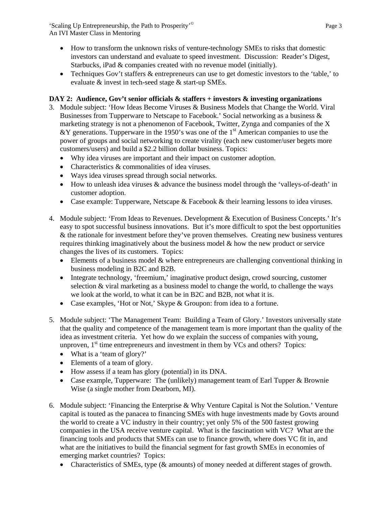'Scaling Up Entrepreneurship, the Path to Prosperity'<sup>©</sup> Page 3 An IVI Master Class in Mentoring

- How to transform the unknown risks of venture-technology SMEs to risks that domestic investors can understand and evaluate to speed investment. Discussion: Reader's Digest, Starbucks, iPad & companies created with no revenue model (initially).
- Techniques Gov't staffers & entrepreneurs can use to get domestic investors to the 'table,' to evaluate & invest in tech-seed stage & start-up SMEs.

## **DAY 2: Audience, Gov't senior officials & staffers + investors & investing organizations**

- 3. Module subject: 'How Ideas Become Viruses & Business Models that Change the World. Viral Businesses from Tupperware to Netscape to Facebook.' Social networking as a business & marketing strategy is not a phenomenon of Facebook, Twitter, Zynga and companies of the X &Y generations. Tupperware in the 1950's was one of the 1<sup>st</sup> American companies to use the power of groups and social networking to create virality (each new customer/user begets more customers/users) and build a \$2.2 billion dollar business. Topics:
	- Why idea viruses are important and their impact on customer adoption.
	- Characteristics & commonalities of idea viruses.
	- Ways idea viruses spread through social networks.
	- How to unleash idea viruses & advance the business model through the 'valleys-of-death' in customer adoption.
	- Case example: Tupperware, Netscape & Facebook & their learning lessons to idea viruses.
- 4. Module subject: 'From Ideas to Revenues. Development & Execution of Business Concepts.' It's easy to spot successful business innovations. But it's more difficult to spot the best opportunities & the rationale for investment before they've proven themselves. Creating new business ventures requires thinking imaginatively about the business model & how the new product or service changes the lives of its customers. Topics:
	- Elements of a business model & where entrepreneurs are challenging conventional thinking in business modeling in B2C and B2B.
	- Integrate technology, 'freemium,' imaginative product design, crowd sourcing, customer selection & viral marketing as a business model to change the world, to challenge the ways we look at the world, to what it can be in B2C and B2B, not what it is.
	- Case examples, 'Hot or Not,' Skype & Groupon: from idea to a fortune.
- 5. Module subject: 'The Management Team: Building a Team of Glory.' Investors universally state that the quality and competence of the management team is more important than the quality of the idea as investment criteria. Yet how do we explain the success of companies with young, unproven,  $1<sup>st</sup>$  time entrepreneurs and investment in them by VCs and others? Topics:
	- What is a 'team of glory?'
	- Elements of a team of glory.
	- How assess if a team has glory (potential) in its DNA.
	- Case example, Tupperware: The (unlikely) management team of Earl Tupper & Brownie Wise (a single mother from Dearborn, MI).
- 6. Module subject: 'Financing the Enterprise & Why Venture Capital is Not the Solution.' Venture capital is touted as the panacea to financing SMEs with huge investments made by Govts around the world to create a VC industry in their country; yet only 5% of the 500 fastest growing companies in the USA receive venture capital. What is the fascination with VC? What are the financing tools and products that SMEs can use to finance growth, where does VC fit in, and what are the initiatives to build the financial segment for fast growth SMEs in economies of emerging market countries? Topics:
	- Characteristics of SMEs, type ( $&$  amounts) of money needed at different stages of growth.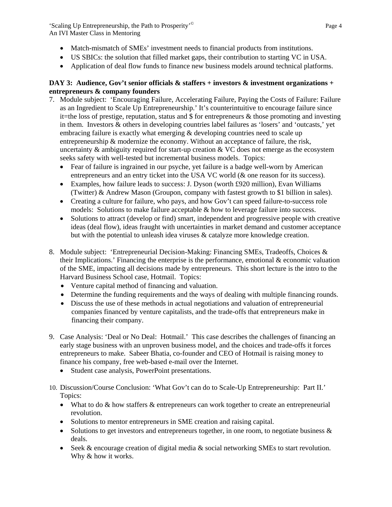'Scaling Up Entrepreneurship, the Path to Prosperity'<sup>©</sup> Page 4 An IVI Master Class in Mentoring

- Match-mismatch of SMEs' investment needs to financial products from institutions.
- US SBICs: the solution that filled market gaps, their contribution to starting VC in USA.
- Application of deal flow funds to finance new business models around technical platforms.

## **DAY 3: Audience, Gov't senior officials & staffers + investors & investment organizations + entrepreneurs & company founders**

- 7. Module subject: 'Encouraging Failure, Accelerating Failure, Paying the Costs of Failure: Failure as an Ingredient to Scale Up Entrepreneurship.' It's counterintuitive to encourage failure since it=the loss of prestige, reputation, status and  $\frac{1}{2}$  for entrepreneurs & those promoting and investing in them. Investors & others in developing countries label failures as 'losers' and 'outcasts,' yet embracing failure is exactly what emerging  $\&$  developing countries need to scale up entrepreneurship  $\&$  modernize the economy. Without an acceptance of failure, the risk, uncertainty  $\&$  ambiguity required for start-up creation  $\&$  VC does not emerge as the ecosystem seeks safety with well-tested but incremental business models. Topics:
	- Fear of failure is ingrained in our psyche, yet failure is a badge well-worn by American entrepreneurs and an entry ticket into the USA VC world (& one reason for its success).
	- Examples, how failure leads to success: J. Dyson (worth £920 million), Evan Williams (Twitter) & Andrew Mason (Groupon, company with fastest growth to \$1 billion in sales).
	- Creating a culture for failure, who pays, and how Gov't can speed failure-to-success role models: Solutions to make failure acceptable & how to leverage failure into success.
	- Solutions to attract (develop or find) smart, independent and progressive people with creative ideas (deal flow), ideas fraught with uncertainties in market demand and customer acceptance but with the potential to unleash idea viruses & catalyze more knowledge creation.
- 8. Module subject: 'Entrepreneurial Decision-Making: Financing SMEs, Tradeoffs, Choices & their Implications.' Financing the enterprise is the performance, emotional  $\&$  economic valuation of the SME, impacting all decisions made by entrepreneurs. This short lecture is the intro to the Harvard Business School case, Hotmail. Topics:
	- Venture capital method of financing and valuation.
	- Determine the funding requirements and the ways of dealing with multiple financing rounds.
	- Discuss the use of these methods in actual negotiations and valuation of entrepreneurial companies financed by venture capitalists, and the trade-offs that entrepreneurs make in financing their company.
- 9. Case Analysis: 'Deal or No Deal: Hotmail.' This case describes the challenges of financing an early stage business with an unproven business model, and the choices and trade-offs it forces entrepreneurs to make. Sabeer Bhatia, co-founder and CEO of Hotmail is raising money to finance his company, free web-based e-mail over the Internet.
	- Student case analysis, PowerPoint presentations.
- 10. Discussion/Course Conclusion: 'What Gov't can do to Scale-Up Entrepreneurship: Part II.' Topics:
	- What to do & how staffers & entrepreneurs can work together to create an entrepreneurial revolution.
	- Solutions to mentor entrepreneurs in SME creation and raising capital.
	- $\bullet$  Solutions to get investors and entrepreneurs together, in one room, to negotiate business & deals.
	- $\bullet$  Seek & encourage creation of digital media & social networking SMEs to start revolution. Why & how it works.